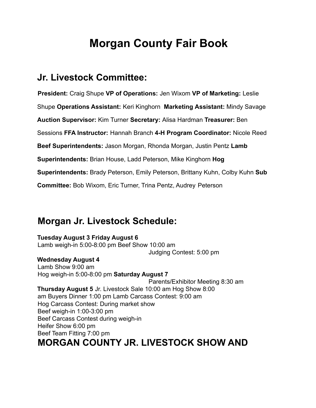## **Morgan County Fair Book**

## **Jr. Livestock Committee:**

**President:** Craig Shupe **VP of Operations:** Jen Wixom **VP of Marketing:** Leslie Shupe **Operations Assistant:** Keri Kinghorn **Marketing Assistant:** Mindy Savage **Auction Supervisor:** Kim Turner **Secretary:** Alisa Hardman **Treasurer:** Ben Sessions **FFA Instructor:** Hannah Branch **4-H Program Coordinator:** Nicole Reed **Beef Superintendents:** Jason Morgan, Rhonda Morgan, Justin Pentz **Lamb Superintendents:** Brian House, Ladd Peterson, Mike Kinghorn **Hog Superintendents:** Brady Peterson, Emily Peterson, Brittany Kuhn, Colby Kuhn **Sub Committee:** Bob Wixom, Eric Turner, Trina Pentz, Audrey Peterson

## **Morgan Jr. Livestock Schedule:**

#### **Tuesday August 3 Friday August 6**

Lamb weigh-in 5:00-8:00 pm Beef Show 10:00 am Judging Contest: 5:00 pm

#### **Wednesday August 4**

Lamb Show 9:00 am Hog weigh-in 5:00-8:00 pm **Saturday August 7** Parents/Exhibitor Meeting 8:30 am **Thursday August 5** Jr. Livestock Sale 10:00 am Hog Show 8:00 am Buyers Dinner 1:00 pm Lamb Carcass Contest: 9:00 am Hog Carcass Contest: During market show Beef weigh-in 1:00-3:00 pm Beef Carcass Contest during weigh-in Heifer Show 6:00 pm Beef Team Fitting 7:00 pm **MORGAN COUNTY JR. LIVESTOCK SHOW AND**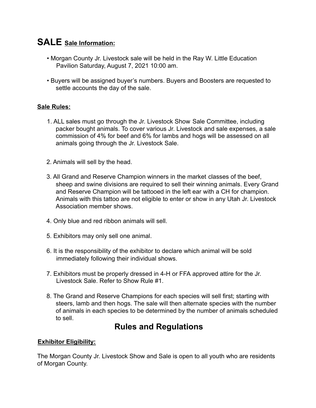### **SALE Sale Information:**

- Morgan County Jr. Livestock sale will be held in the Ray W. Little Education Pavilion Saturday, August 7, 2021 10:00 am.
- Buyers will be assigned buyer's numbers. Buyers and Boosters are requested to settle accounts the day of the sale.

#### **Sale Rules:**

- 1. ALL sales must go through the Jr. Livestock Show Sale Committee, including packer bought animals. To cover various Jr. Livestock and sale expenses, a sale commission of 4% for beef and 6% for lambs and hogs will be assessed on all animals going through the Jr. Livestock Sale.
- 2. Animals will sell by the head.
- 3. All Grand and Reserve Champion winners in the market classes of the beef, sheep and swine divisions are required to sell their winning animals. Every Grand and Reserve Champion will be tattooed in the left ear with a CH for champion. Animals with this tattoo are not eligible to enter or show in any Utah Jr. Livestock Association member shows.
- 4. Only blue and red ribbon animals will sell.
- 5. Exhibitors may only sell one animal.
- 6. It is the responsibility of the exhibitor to declare which animal will be sold immediately following their individual shows.
- 7. Exhibitors must be properly dressed in 4-H or FFA approved attire for the Jr. Livestock Sale. Refer to Show Rule #1.
- 8. The Grand and Reserve Champions for each species will sell first; starting with steers, lamb and then hogs. The sale will then alternate species with the number of animals in each species to be determined by the number of animals scheduled to sell.

### **Rules and Regulations**

#### **Exhibitor Eligibility:**

The Morgan County Jr. Livestock Show and Sale is open to all youth who are residents of Morgan County.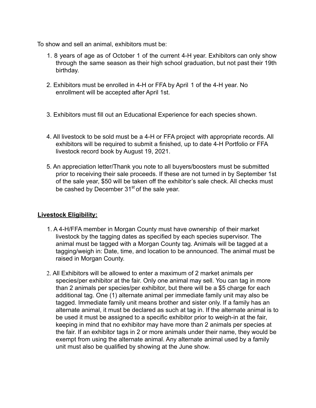To show and sell an animal, exhibitors must be:

- 1. 8 years of age as of October 1 of the current 4-H year. Exhibitors can only show through the same season as their high school graduation, but not past their 19th birthday.
- 2. Exhibitors must be enrolled in 4-H or FFA by April 1 of the 4-H year. No enrollment will be accepted after April 1st.
- 3. Exhibitors must fill out an Educational Experience for each species shown.
- 4. All livestock to be sold must be a 4-H or FFA project with appropriate records. All exhibitors will be required to submit a finished, up to date 4-H Portfolio or FFA livestock record book by August 19, 2021.
- 5. An appreciation letter/Thank you note to all buyers/boosters must be submitted prior to receiving their sale proceeds. If these are not turned in by September 1st of the sale year, \$50 will be taken off the exhibitor's sale check. All checks must be cashed by December  $31<sup>st</sup>$  of the sale year.

#### **Livestock Eligibility:**

- 1. A 4-H/FFA member in Morgan County must have ownership of their market livestock by the tagging dates as specified by each species supervisor. The animal must be tagged with a Morgan County tag. Animals will be tagged at a tagging/weigh in: Date, time, and location to be announced. The animal must be raised in Morgan County.
- 2. All Exhibitors will be allowed to enter a maximum of 2 market animals per species/per exhibitor at the fair. Only one animal may sell. You can tag in more than 2 animals per species/per exhibitor, but there will be a \$5 charge for each additional tag. One (1) alternate animal per immediate family unit may also be tagged. Immediate family unit means brother and sister only. If a family has an alternate animal, it must be declared as such at tag in. If the alternate animal is to be used it must be assigned to a specific exhibitor prior to weigh-in at the fair, keeping in mind that no exhibitor may have more than 2 animals per species at the fair. If an exhibitor tags in 2 or more animals under their name, they would be exempt from using the alternate animal. Any alternate animal used by a family unit must also be qualified by showing at the June show.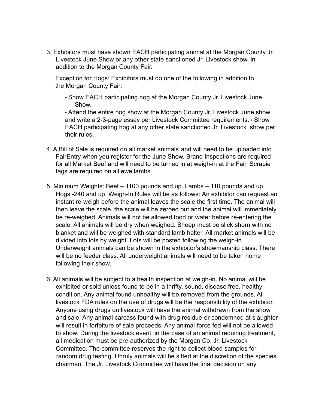3. Exhibitors must have shown EACH participating animal at the Morgan County Jr. Livestock June Show or any other state sanctioned Jr. Livestock show, in addition to the Morgan County Fair.

Exception for Hogs: Exhibitors must do one of the following in addition to the Morgan County Fair:

• Show EACH participating hog at the Morgan County Jr. Livestock June Show.

• Attend the entire hog show at the Morgan County Jr. Livestock June show and write a 2-3-page essay per Livestock Committee requirements. • Show EACH participating hog at any other state sanctioned Jr. Livestock show per their rules.

- 4. A Bill of Sale is required on all market animals and will need to be uploaded into FairEntry when you register for the June Show. Brand Inspections are required for all Market Beef and will need to be turned in at weigh-in at the Fair. Scrapie tags are required on all ewe lambs.
- 5. Minimum Weights: Beef 1100 pounds and up. Lambs 110 pounds and up. Hogs -240 and up. Weigh-In Rules will be as follows: An exhibitor can request an instant re-weigh before the animal leaves the scale the first time. The animal will then leave the scale, the scale will be zeroed out and the animal will immediately be re-weighed. Animals will not be allowed food or water before re-entering the scale. All animals will be dry when weighed. Sheep must be slick shorn with no blanket and will be weighed with standard lamb halter. All market animals will be divided into lots by weight. Lots will be posted following the weigh-in. Underweight animals can be shown in the exhibitor's showmanship class. There will be no feeder class. All underweight animals will need to be taken home following their show.
- 6. All animals will be subject to a health inspection at weigh-in. No animal will be exhibited or sold unless found to be in a thrifty, sound, disease free, healthy condition. Any animal found unhealthy will be removed from the grounds. All livestock FDA rules on the use of drugs will be the responsibility of the exhibitor. Anyone using drugs on livestock will have the animal withdrawn from the show and sale. Any animal carcass found with drug residue or condemned at slaughter will result in forfeiture of sale proceeds. Any animal force fed will not be allowed to show. During the livestock event, in the case of an animal requiring treatment, all medication must be pre-authorized by the Morgan Co. Jr. Livestock Committee. The committee reserves the right to collect blood samples for random drug testing. Unruly animals will be sifted at the discretion of the species chairman. The Jr. Livestock Committee will have the final decision on any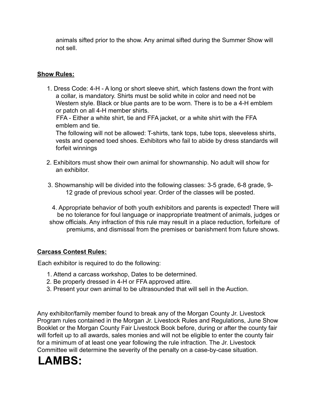animals sifted prior to the show. Any animal sifted during the Summer Show will not sell.

#### **Show Rules:**

- 1. Dress Code: 4-H A long or short sleeve shirt, which fastens down the front with a collar, is mandatory. Shirts must be solid white in color and need not be Western style. Black or blue pants are to be worn. There is to be a 4-H emblem or patch on all 4-H member shirts. FFA - Either a white shirt, tie and FFA jacket, or a white shirt with the FFA emblem and tie. The following will not be allowed: T-shirts, tank tops, tube tops, sleeveless shirts, vests and opened toed shoes. Exhibitors who fail to abide by dress standards will forfeit winnings
- 2. Exhibitors must show their own animal for showmanship. No adult will show for an exhibitor.
- 3. Showmanship will be divided into the following classes: 3-5 grade, 6-8 grade, 9- 12 grade of previous school year. Order of the classes will be posted.
- 4. Appropriate behavior of both youth exhibitors and parents is expected! There will be no tolerance for foul language or inappropriate treatment of animals, judges or show officials. Any infraction of this rule may result in a place reduction, forfeiture of premiums, and dismissal from the premises or banishment from future shows.

#### **Carcass Contest Rules:**

Each exhibitor is required to do the following:

- 1. Attend a carcass workshop, Dates to be determined.
- 2. Be properly dressed in 4-H or FFA approved attire.
- 3. Present your own animal to be ultrasounded that will sell in the Auction.

Any exhibitor/family member found to break any of the Morgan County Jr. Livestock Program rules contained in the Morgan Jr. Livestock Rules and Regulations, June Show Booklet or the Morgan County Fair Livestock Book before, during or after the county fair will forfeit up to all awards, sales monies and will not be eligible to enter the county fair for a minimum of at least one year following the rule infraction. The Jr. Livestock Committee will determine the severity of the penalty on a case-by-case situation.

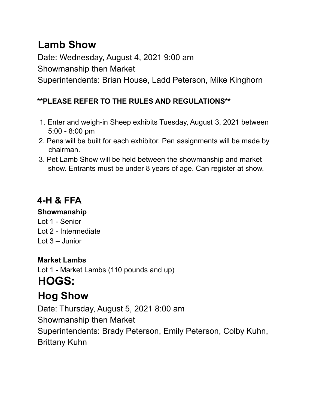## **Lamb Show**

Date: Wednesday, August 4, 2021 9:00 am Showmanship then Market Superintendents: Brian House, Ladd Peterson, Mike Kinghorn

#### **\*\*PLEASE REFER TO THE RULES AND REGULATIONS\*\***

- 1. Enter and weigh-in Sheep exhibits Tuesday, August 3, 2021 between 5:00 - 8:00 pm
- 2. Pens will be built for each exhibitor. Pen assignments will be made by chairman.
- 3. Pet Lamb Show will be held between the showmanship and market show. Entrants must be under 8 years of age. Can register at show.

## **4-H & FFA**

#### **Showmanship**

Lot 1 - Senior Lot 2 - Intermediate Lot 3 – Junior

### **Market Lambs**

Lot 1 - Market Lambs (110 pounds and up) **HOGS: Hog Show**

Date: Thursday, August 5, 2021 8:00 am Showmanship then Market Superintendents: Brady Peterson, Emily Peterson, Colby Kuhn, Brittany Kuhn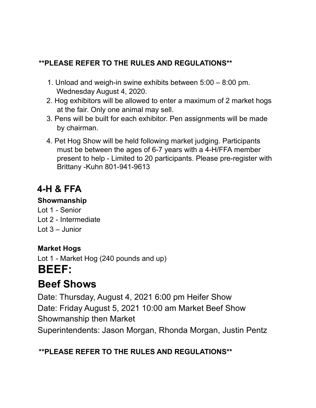### **\*\*PLEASE REFER TO THE RULES AND REGULATIONS\*\***

- 1. Unload and weigh-in swine exhibits between 5:00 8:00 pm. Wednesday August 4, 2020.
- 2. Hog exhibitors will be allowed to enter a maximum of 2 market hogs at the fair. Only one animal may sell.
- 3. Pens will be built for each exhibitor. Pen assignments will be made by chairman.
- 4. Pet Hog Show will be held following market judging. Participants must be between the ages of 6-7 years with a 4-H/FFA member present to help - Limited to 20 participants. Please pre-register with Brittany -Kuhn 801-941-9613

## **4-H & FFA**

#### **Showmanship**

Lot 1 - Senior Lot 2 - Intermediate Lot 3 – Junior

### **Market Hogs**

Lot 1 - Market Hog (240 pounds and up) **BEEF:**

## **Beef Shows**

Date: Thursday, August 4, 2021 6:00 pm Heifer Show Date: Friday August 5, 2021 10:00 am Market Beef Show Showmanship then Market Superintendents: Jason Morgan, Rhonda Morgan, Justin Pentz

### **\*\*PLEASE REFER TO THE RULES AND REGULATIONS\*\***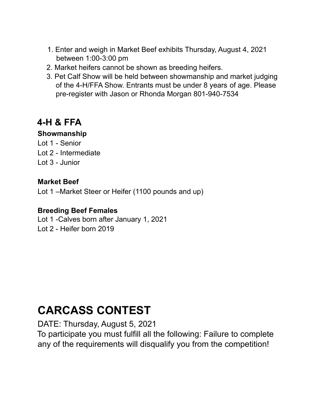- 1. Enter and weigh in Market Beef exhibits Thursday, August 4, 2021 between 1:00-3:00 pm
- 2. Market heifers cannot be shown as breeding heifers.
- 3. Pet Calf Show will be held between showmanship and market judging of the 4-H/FFA Show. Entrants must be under 8 years of age. Please pre-register with Jason or Rhonda Morgan 801-940-7534

## **4-H & FFA**

#### **Showmanship**

Lot 1 - Senior Lot 2 - Intermediate Lot 3 - Junior

#### **Market Beef**

Lot 1 –Market Steer or Heifer (1100 pounds and up)

#### **Breeding Beef Females**

Lot 1 -Calves born after January 1, 2021 Lot 2 - Heifer born 2019

## **CARCASS CONTEST**

DATE: Thursday, August 5, 2021

To participate you must fulfill all the following: Failure to complete any of the requirements will disqualify you from the competition!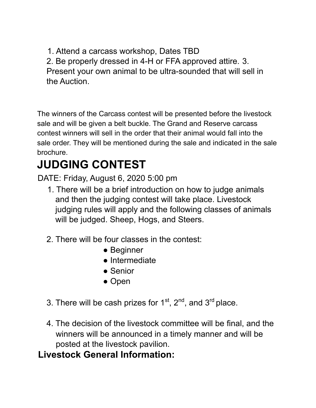1. Attend a carcass workshop, Dates TBD 2. Be properly dressed in 4-H or FFA approved attire. 3. Present your own animal to be ultra-sounded that will sell in

the Auction.

The winners of the Carcass contest will be presented before the livestock sale and will be given a belt buckle. The Grand and Reserve carcass contest winners will sell in the order that their animal would fall into the sale order. They will be mentioned during the sale and indicated in the sale brochure.

# **JUDGING CONTEST**

DATE: Friday, August 6, 2020 5:00 pm

- 1. There will be a brief introduction on how to judge animals and then the judging contest will take place. Livestock judging rules will apply and the following classes of animals will be judged. Sheep, Hogs, and Steers.
- 2. There will be four classes in the contest:
	- Beginner
	- Intermediate
	- Senior
	- Open
- 3. There will be cash prizes for  $1<sup>st</sup>$ ,  $2<sup>nd</sup>$ , and  $3<sup>rd</sup>$  place.
- 4. The decision of the livestock committee will be final, and the winners will be announced in a timely manner and will be posted at the livestock pavilion.

## **Livestock General Information:**